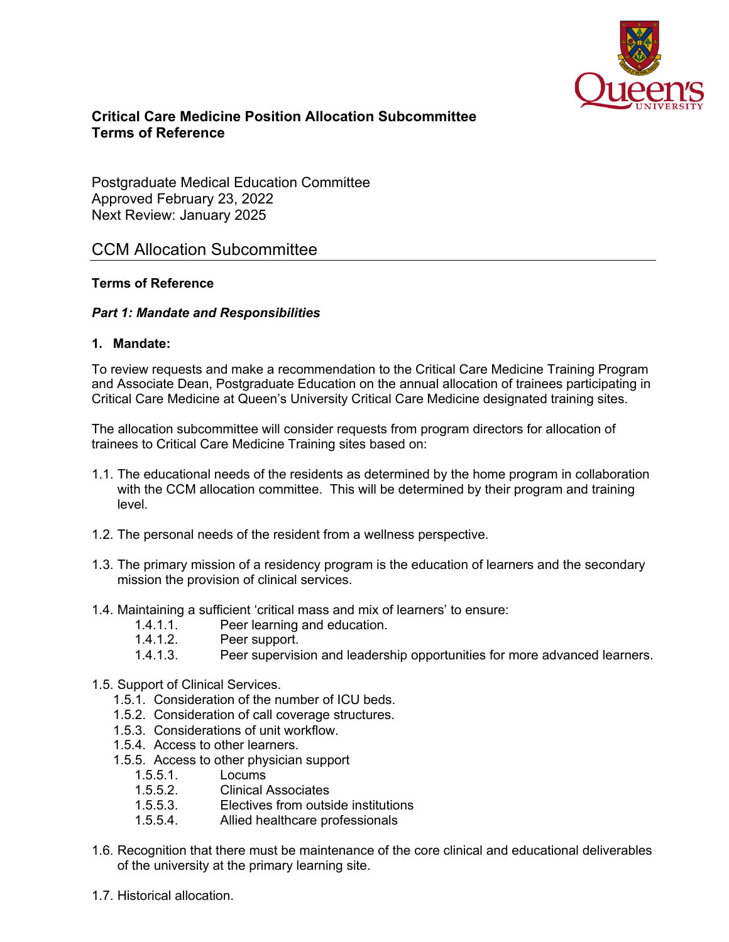

# **Critical Care Medicine Position Allocation Subcommittee Terms of Reference**

Postgraduate Medical Education Committee Approved February 23, 2022 Next Review: January 2025

# CCM Allocation Subcommittee

## **Terms of Reference**

### *Part 1: Mandate and Responsibilities*

### **1. Mandate:**

To review requests and make a recommendation to the Critical Care Medicine Training Program and Associate Dean, Postgraduate Education on the annual allocation of trainees participating in Critical Care Medicine at Queen's University Critical Care Medicine designated training sites.

The allocation subcommittee will consider requests from program directors for allocation of trainees to Critical Care Medicine Training sites based on:

- 1.1. The educational needs of the residents as determined by the home program in collaboration with the CCM allocation committee. This will be determined by their program and training level.
- 1.2. The personal needs of the resident from a wellness perspective.
- 1.3. The primary mission of a residency program is the education of learners and the secondary mission the provision of clinical services.
- 1.4. Maintaining a sufficient 'critical mass and mix of learners' to ensure:
	- 1.4.1.1. Peer learning and education.
	- 1.4.1.2. Peer support.
	- 1.4.1.3. Peer supervision and leadership opportunities for more advanced learners.
- 1.5. Support of Clinical Services.
	- 1.5.1. Consideration of the number of ICU beds.
	- 1.5.2. Consideration of call coverage structures.
	- 1.5.3. Considerations of unit workflow.
	- 1.5.4. Access to other learners.
	- 1.5.5. Access to other physician support
		- 1.5.5.1. Locums
		- 1.5.5.2. Clinical Associates
		- 1.5.5.3. Electives from outside institutions
		- 1.5.5.4. Allied healthcare professionals
- 1.6. Recognition that there must be maintenance of the core clinical and educational deliverables of the university at the primary learning site.
- 1.7. Historical allocation.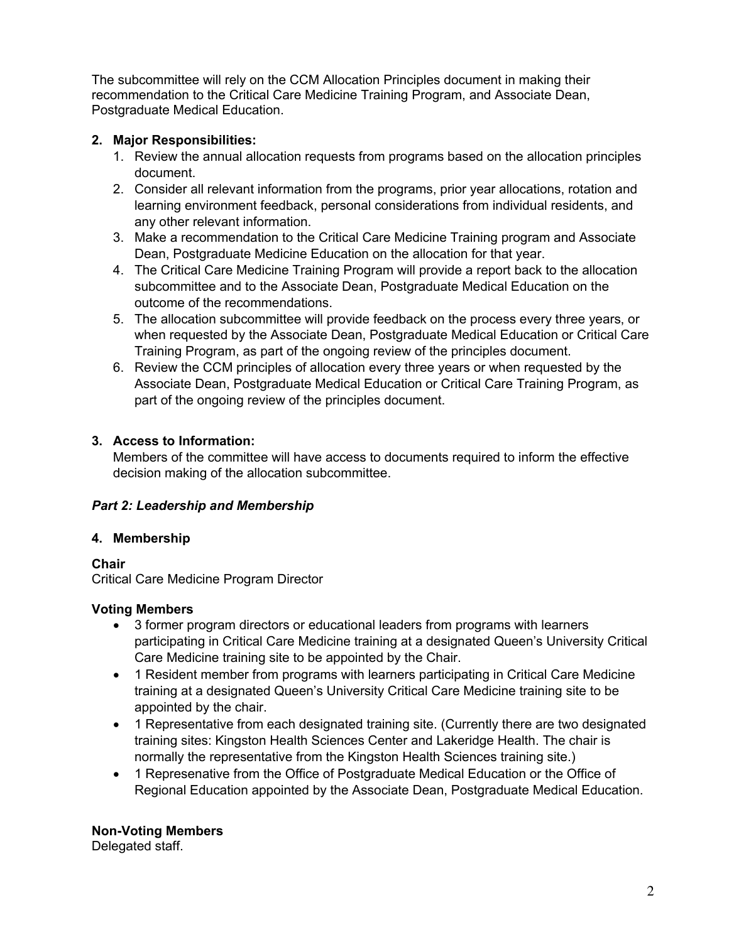The subcommittee will rely on the CCM Allocation Principles document in making their recommendation to the Critical Care Medicine Training Program, and Associate Dean, Postgraduate Medical Education.

# **2. Major Responsibilities:**

- 1. Review the annual allocation requests from programs based on the allocation principles document.
- 2. Consider all relevant information from the programs, prior year allocations, rotation and learning environment feedback, personal considerations from individual residents, and any other relevant information.
- 3. Make a recommendation to the Critical Care Medicine Training program and Associate Dean, Postgraduate Medicine Education on the allocation for that year.
- 4. The Critical Care Medicine Training Program will provide a report back to the allocation subcommittee and to the Associate Dean, Postgraduate Medical Education on the outcome of the recommendations.
- 5. The allocation subcommittee will provide feedback on the process every three years, or when requested by the Associate Dean, Postgraduate Medical Education or Critical Care Training Program, as part of the ongoing review of the principles document.
- 6. Review the CCM principles of allocation every three years or when requested by the Associate Dean, Postgraduate Medical Education or Critical Care Training Program, as part of the ongoing review of the principles document.

# **3. Access to Information:**

Members of the committee will have access to documents required to inform the effective decision making of the allocation subcommittee.

# *Part 2: Leadership and Membership*

# **4. Membership**

**Chair**

Critical Care Medicine Program Director

# **Voting Members**

- 3 former program directors or educational leaders from programs with learners participating in Critical Care Medicine training at a designated Queen's University Critical Care Medicine training site to be appointed by the Chair.
- 1 Resident member from programs with learners participating in Critical Care Medicine training at a designated Queen's University Critical Care Medicine training site to be appointed by the chair.
- 1 Representative from each designated training site. (Currently there are two designated training sites: Kingston Health Sciences Center and Lakeridge Health. The chair is normally the representative from the Kingston Health Sciences training site.)
- 1 Represenative from the Office of Postgraduate Medical Education or the Office of Regional Education appointed by the Associate Dean, Postgraduate Medical Education.

**Non-Voting Members** 

Delegated staff.